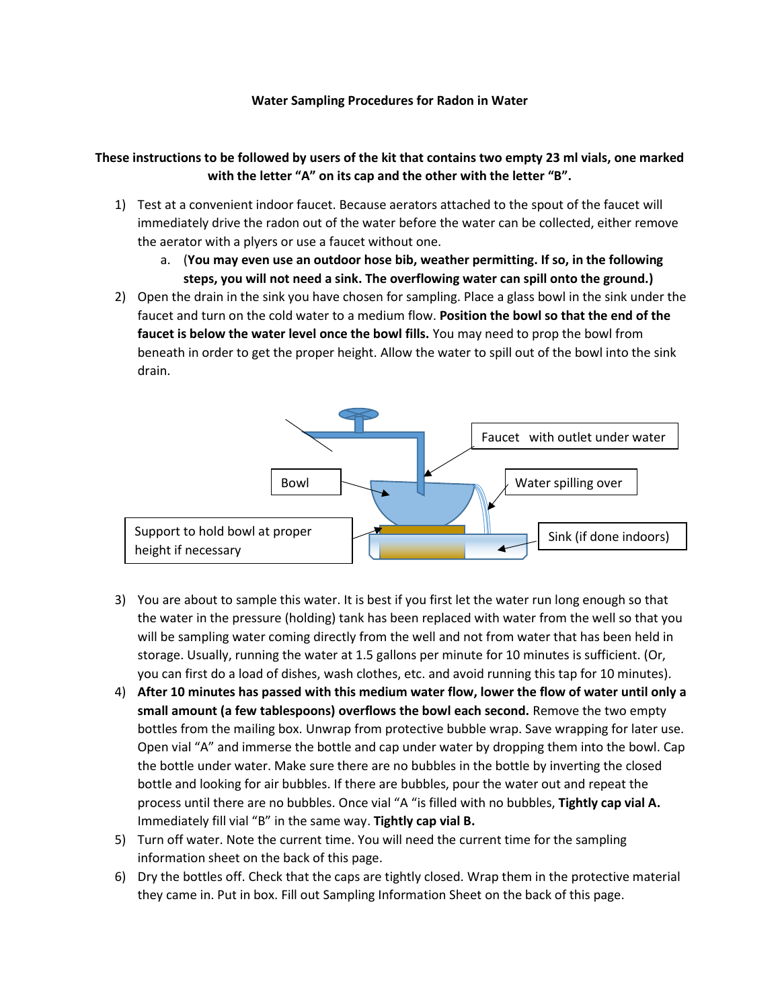## **Water Sampling Procedures for Radon in Water**

## **These instructions to be followed by users of the kit that contains two empty 23 ml vials, one marked with the letter "A" on its cap and the other with the letter "B".**

- 1) Test at a convenient indoor faucet. Because aerators attached to the spout of the faucet will immediately drive the radon out of the water before the water can be collected, either remove the aerator with a plyers or use a faucet without one.
	- a. (**You may even use an outdoor hose bib, weather permitting. If so, in the following steps, you will not need a sink. The overflowing water can spill onto the ground.)**
- 2) Open the drain in the sink you have chosen for sampling. Place a glass bowl in the sink under the faucet and turn on the cold water to a medium flow. **Position the bowl so that the end of the faucet is below the water level once the bowl fills.** You may need to prop the bowl from beneath in order to get the proper height. Allow the water to spill out of the bowl into the sink drain.



- 3) You are about to sample this water. It is best if you first let the water run long enough so that the water in the pressure (holding) tank has been replaced with water from the well so that you will be sampling water coming directly from the well and not from water that has been held in storage. Usually, running the water at 1.5 gallons per minute for 10 minutes is sufficient. (Or, you can first do a load of dishes, wash clothes, etc. and avoid running this tap for 10 minutes).
- 4) **After 10 minutes has passed with this medium water flow, lower the flow of water until only a small amount (a few tablespoons) overflows the bowl each second.** Remove the two empty bottles from the mailing box. Unwrap from protective bubble wrap. Save wrapping for later use. Open vial "A" and immerse the bottle and cap under water by dropping them into the bowl. Cap the bottle under water. Make sure there are no bubbles in the bottle by inverting the closed bottle and looking for air bubbles. If there are bubbles, pour the water out and repeat the process until there are no bubbles. Once vial "A "is filled with no bubbles, **Tightly cap vial A.**  Immediately fill vial "B" in the same way. **Tightly cap vial B.**
- 5) Turn off water. Note the current time. You will need the current time for the sampling information sheet on the back of this page.
- 6) Dry the bottles off. Check that the caps are tightly closed. Wrap them in the protective material they came in. Put in box. Fill out Sampling Information Sheet on the back of this page.